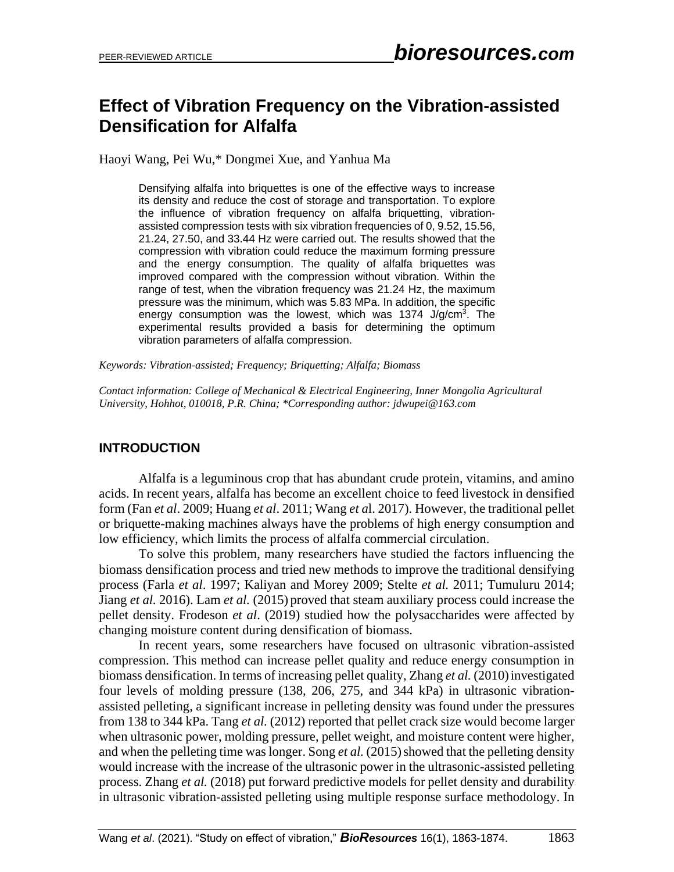# **Effect of Vibration Frequency on the Vibration-assisted Densification for Alfalfa**

Haoyi Wang, Pei Wu,\* Dongmei Xue, and Yanhua Ma

Densifying alfalfa into briquettes is one of the effective ways to increase its density and reduce the cost of storage and transportation. To explore the influence of vibration frequency on alfalfa briquetting, vibrationassisted compression tests with six vibration frequencies of 0, 9.52, 15.56, 21.24, 27.50, and 33.44 Hz were carried out. The results showed that the compression with vibration could reduce the maximum forming pressure and the energy consumption. The quality of alfalfa briquettes was improved compared with the compression without vibration. Within the range of test, when the vibration frequency was 21.24 Hz, the maximum pressure was the minimum, which was 5.83 MPa. In addition, the specific energy consumption was the lowest, which was 1374 J/g/cm<sup>3</sup>. The experimental results provided a basis for determining the optimum vibration parameters of alfalfa compression.

*Keywords: Vibration-assisted; Frequency; Briquetting; Alfalfa; Biomass*

*Contact information: College of Mechanical & Electrical Engineering, Inner Mongolia Agricultural University, Hohhot, 010018, P.R. China; \*Corresponding author: jdwupei@163.com*

### **INTRODUCTION**

Alfalfa is a leguminous crop that has abundant crude protein, vitamins, and amino acids. In recent years, alfalfa has become an excellent choice to feed livestock in densified form (Fan *et al*. 2009; Huang *et al*. 2011; Wang *et a*l. 2017). However, the traditional pellet or briquette-making machines always have the problems of high energy consumption and low efficiency, which limits the process of alfalfa commercial circulation.

To solve this problem, many researchers have studied the factors influencing the biomass densification process and tried new methods to improve the traditional densifying process (Farla *et al*. 1997; Kaliyan and Morey 2009; Stelte *et al.* 2011; Tumuluru 2014; Jiang *et al.* 2016). Lam *et al.* (2015) proved that steam auxiliary process could increase the pellet density. Frodeson *et al*. (2019) studied how the polysaccharides were affected by changing moisture content during densification of biomass.

In recent years, some researchers have focused on ultrasonic vibration-assisted compression. This method can increase pellet quality and reduce energy consumption in biomass densification. In terms of increasing pellet quality, Zhang *et al.* (2010) investigated four levels of molding pressure (138, 206, 275, and 344 kPa) in ultrasonic vibrationassisted pelleting, a significant increase in pelleting density was found under the pressures from 138 to 344 kPa. Tang *et al.* (2012) reported that pellet crack size would become larger when ultrasonic power, molding pressure, pellet weight, and moisture content were higher, and when the pelleting time was longer. Song *et al.* (2015) showed that the pelleting density would increase with the increase of the ultrasonic power in the ultrasonic-assisted pelleting process. Zhang *et al.* (2018) put forward predictive models for pellet density and durability in ultrasonic vibration-assisted pelleting using multiple response surface methodology. In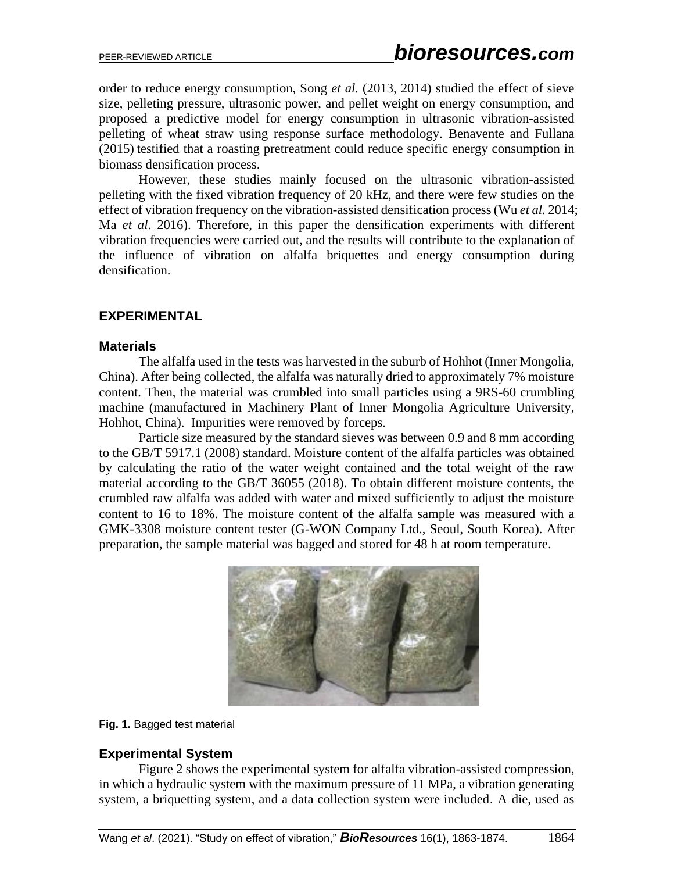order to reduce energy consumption, Song *et al.* (2013, 2014) studied the effect of sieve size, pelleting pressure, ultrasonic power, and pellet weight on energy consumption, and proposed a predictive model for energy consumption in ultrasonic vibration-assisted pelleting of wheat straw using response surface methodology. Benavente and Fullana (2015) testified that a roasting pretreatment could reduce specific energy consumption in biomass densification process.

However, these studies mainly focused on the ultrasonic vibration-assisted pelleting with the fixed vibration frequency of 20 kHz, and there were few studies on the effect of vibration frequency on the vibration-assisted densification process (Wu *et al.* 2014; Ma *et al*. 2016). Therefore, in this paper the densification experiments with different vibration frequencies were carried out, and the results will contribute to the explanation of the influence of vibration on alfalfa briquettes and energy consumption during densification.

### **EXPERIMENTAL**

#### **Materials**

The alfalfa used in the tests was harvested in the suburb of Hohhot (Inner Mongolia, China). After being collected, the alfalfa was naturally dried to approximately 7% moisture content. Then, the material was crumbled into small particles using a 9RS-60 crumbling machine (manufactured in Machinery Plant of Inner Mongolia Agriculture University, Hohhot, China). Impurities were removed by forceps.

Particle size measured by the standard sieves was between 0.9 and 8 mm according to the GB/T 5917.1 (2008) standard. Moisture content of the alfalfa particles was obtained by calculating the ratio of the water weight contained and the total weight of the raw material according to the GB/T 36055 (2018). To obtain different moisture contents, the crumbled raw alfalfa was added with water and mixed sufficiently to adjust the moisture content to 16 to 18%. The moisture content of the alfalfa sample was measured with a GMK-3308 moisture content tester (G-WON Company Ltd., Seoul, South Korea). After preparation, the sample material was bagged and stored for 48 h at room temperature.



#### **Fig. 1.** Bagged test material

#### **Experimental System**

Figure 2 shows the experimental system for alfalfa vibration-assisted compression, in which a hydraulic system with the maximum pressure of 11 MPa, a vibration generating system, a briquetting system, and a data collection system were included. A die, used as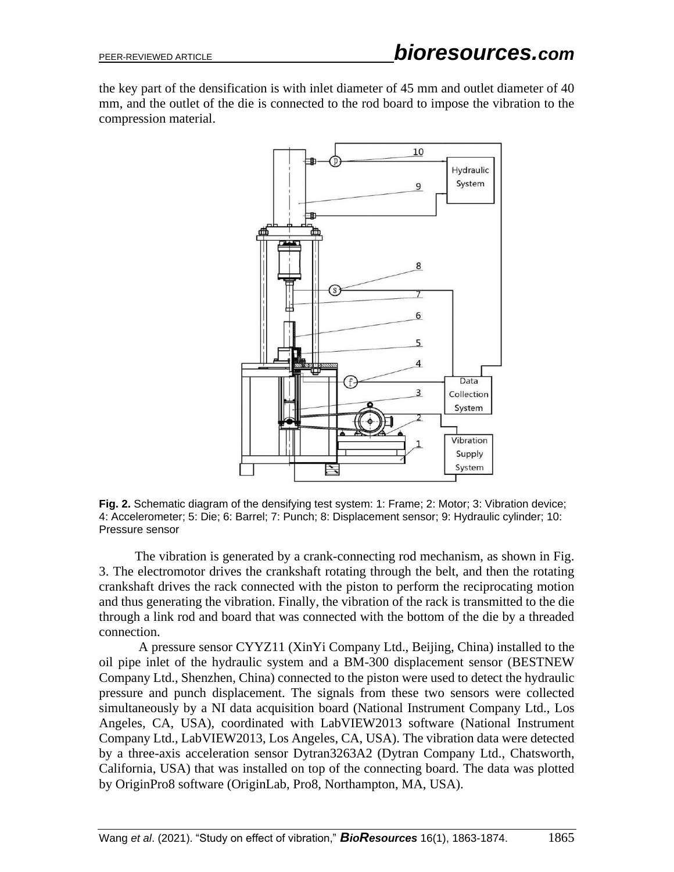the key part of the densification is with inlet diameter of 45 mm and outlet diameter of 40 mm, and the outlet of the die is connected to the rod board to impose the vibration to the compression material.



**Fig. 2.** Schematic diagram of the densifying test system: 1: Frame; 2: Motor; 3: Vibration device; 4: Accelerometer; 5: Die; 6: Barrel; 7: Punch; 8: Displacement sensor; 9: Hydraulic cylinder; 10: Pressure sensor

The vibration is generated by a crank-connecting rod mechanism, as shown in Fig. 3. The electromotor drives the crankshaft rotating through the belt, and then the rotating crankshaft drives the rack connected with the piston to perform the reciprocating motion and thus generating the vibration. Finally, the vibration of the rack is transmitted to the die through a link rod and board that was connected with the bottom of the die by a threaded connection.

A pressure sensor CYYZ11 (XinYi Company Ltd., Beijing, China) installed to the oil pipe inlet of the hydraulic system and a BM-300 displacement sensor (BESTNEW Company Ltd., Shenzhen, China) connected to the piston were used to detect the hydraulic pressure and punch displacement. The signals from these two sensors were collected simultaneously by a NI data acquisition board (National Instrument Company Ltd., Los Angeles, CA, USA), coordinated with LabVIEW2013 software (National Instrument Company Ltd., LabVIEW2013, Los Angeles, CA, USA). The vibration data were detected by a three-axis acceleration sensor Dytran3263A2 (Dytran Company Ltd., Chatsworth, California, USA) that was installed on top of the connecting board. The data was plotted by OriginPro8 software (OriginLab, Pro8, Northampton, MA, USA).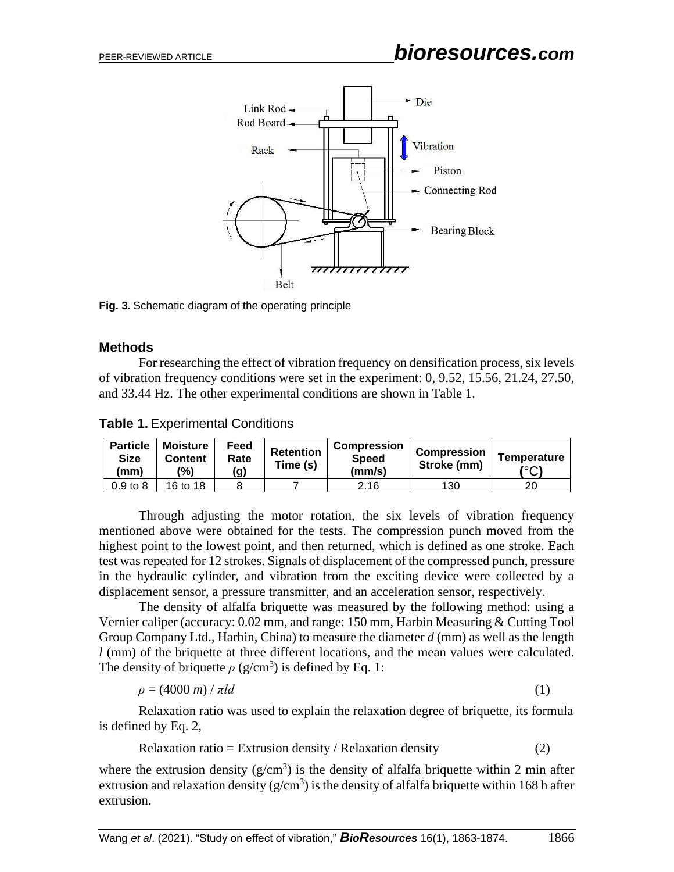

**Fig. 3.** Schematic diagram of the operating principle

#### **Methods**

For researching the effect of vibration frequency on densification process, six levels of vibration frequency conditions were set in the experiment: 0, 9.52, 15.56, 21.24, 27.50, and 33.44 Hz. The other experimental conditions are shown in Table 1.

**Table 1.** Experimental Conditions

| <b>Particle</b><br><b>Size</b><br>(mm) | Moisture<br><b>Content</b><br>(%) | Feed<br>Rate<br>(g) | <b>Retention</b><br>Time (s) | <b>Compression</b><br><b>Speed</b><br>(mm/s) | <b>Compression</b><br>Stroke (mm) | Temperature<br>(°C) |
|----------------------------------------|-----------------------------------|---------------------|------------------------------|----------------------------------------------|-----------------------------------|---------------------|
| $0.9$ to $8$                           | 16 to 18                          |                     |                              | 2.16                                         | 130                               | 20                  |

Through adjusting the motor rotation, the six levels of vibration frequency mentioned above were obtained for the tests. The compression punch moved from the highest point to the lowest point, and then returned, which is defined as one stroke. Each test was repeated for 12 strokes. Signals of displacement of the compressed punch, pressure in the hydraulic cylinder, and vibration from the exciting device were collected by a displacement sensor, a pressure transmitter, and an acceleration sensor, respectively.

The density of alfalfa briquette was measured by the following method: using a Vernier caliper (accuracy: 0.02 mm, and range: 150 mm, Harbin Measuring & Cutting Tool Group Company Ltd., Harbin, China) to measure the diameter *d* (mm) as well as the length *l* (mm) of the briquette at three different locations, and the mean values were calculated. The density of briquette  $\rho$  (g/cm<sup>3</sup>) is defined by Eq. 1:

$$
\rho = (4000 \text{ m}) / \pi l d \tag{1}
$$

Relaxation ratio was used to explain the relaxation degree of briquette, its formula is defined by Eq. 2,

Relaxation ratio = Extrusion density / Relaxation density  $(2)$ 

where the extrusion density  $(g/cm<sup>3</sup>)$  is the density of alfalfa briquette within 2 min after extrusion and relaxation density ( $g/cm<sup>3</sup>$ ) is the density of alfalfa briquette within 168 h after extrusion.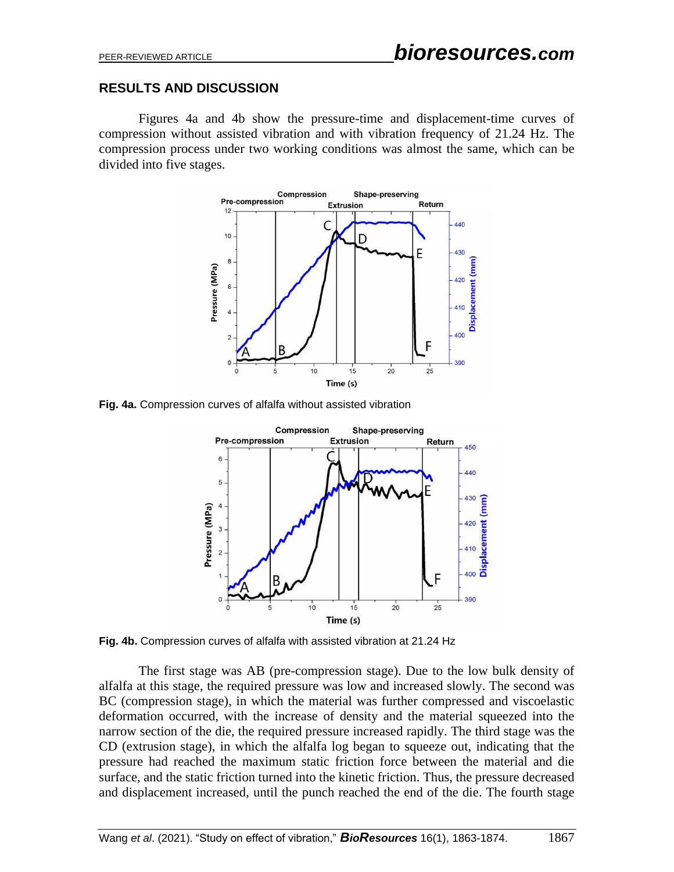### **RESULTS AND DISCUSSION**

Figures 4a and 4b show the pressure-time and displacement-time curves of compression without assisted vibration and with vibration frequency of 21.24 Hz. The compression process under two working conditions was almost the same, which can be divided into five stages.



**Fig. 4a.** Compression curves of alfalfa without assisted vibration



**Fig. 4b.** Compression curves of alfalfa with assisted vibration at 21.24 Hz

The first stage was AB (pre-compression stage). Due to the low bulk density of alfalfa at this stage, the required pressure was low and increased slowly. The second was BC (compression stage), in which the material was further compressed and viscoelastic deformation occurred, with the increase of density and the material squeezed into the narrow section of the die, the required pressure increased rapidly. The third stage was the CD (extrusion stage), in which the alfalfa log began to squeeze out, indicating that the pressure had reached the maximum static friction force between the material and die surface, and the static friction turned into the kinetic friction. Thus, the pressure decreased and displacement increased, until the punch reached the end of the die. The fourth stage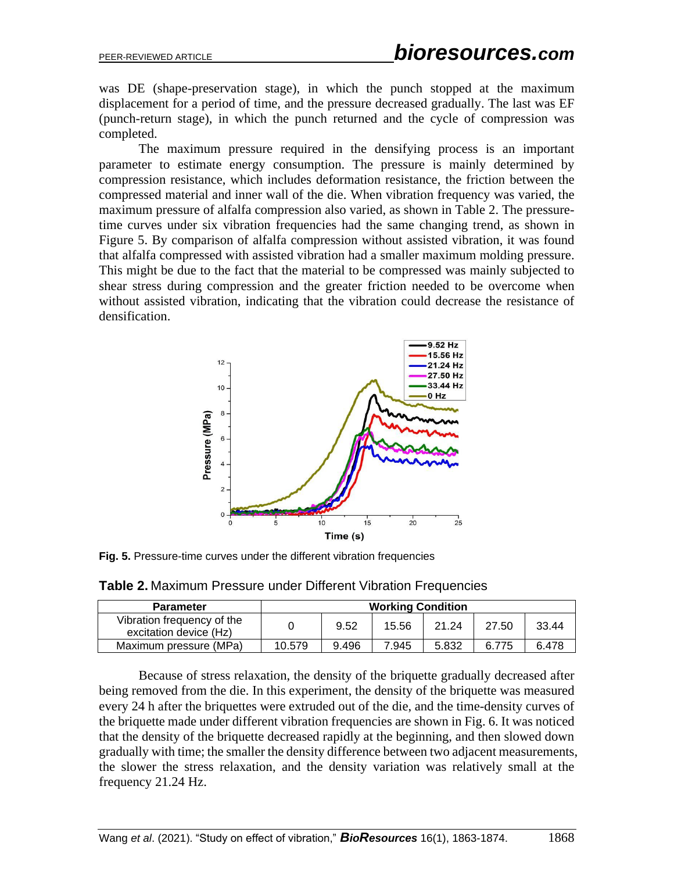was DE (shape-preservation stage), in which the punch stopped at the maximum displacement for a period of time, and the pressure decreased gradually. The last was EF (punch-return stage), in which the punch returned and the cycle of compression was completed.

The maximum pressure required in the densifying process is an important parameter to estimate energy consumption. The pressure is mainly determined by compression resistance, which includes deformation resistance, the friction between the compressed material and inner wall of the die. When vibration frequency was varied, the maximum pressure of alfalfa compression also varied, as shown in Table 2. The pressuretime curves under six vibration frequencies had the same changing trend, as shown in Figure 5. By comparison of alfalfa compression without assisted vibration, it was found that alfalfa compressed with assisted vibration had a smaller maximum molding pressure. This might be due to the fact that the material to be compressed was mainly subjected to shear stress during compression and the greater friction needed to be overcome when without assisted vibration, indicating that the vibration could decrease the resistance of densification.



**Fig. 5.** Pressure-time curves under the different vibration frequencies

**Table 2.** Maximum Pressure under Different Vibration Frequencies

| <b>Parameter</b>                                     | <b>Working Condition</b> |       |       |       |       |       |  |
|------------------------------------------------------|--------------------------|-------|-------|-------|-------|-------|--|
| Vibration frequency of the<br>excitation device (Hz) |                          | 9.52  | 15.56 | 21.24 | 27.50 | 33.44 |  |
| Maximum pressure (MPa)                               | 10.579                   | 9.496 | 7.945 | 5.832 | 6.775 | 6.478 |  |

Because of stress relaxation, the density of the briquette gradually decreased after being removed from the die. In this experiment, the density of the briquette was measured every 24 h after the briquettes were extruded out of the die, and the time-density curves of the briquette made under different vibration frequencies are shown in Fig. 6. It was noticed that the density of the briquette decreased rapidly at the beginning, and then slowed down gradually with time; the smaller the density difference between two adjacent measurements, the slower the stress relaxation, and the density variation was relatively small at the frequency 21.24 Hz.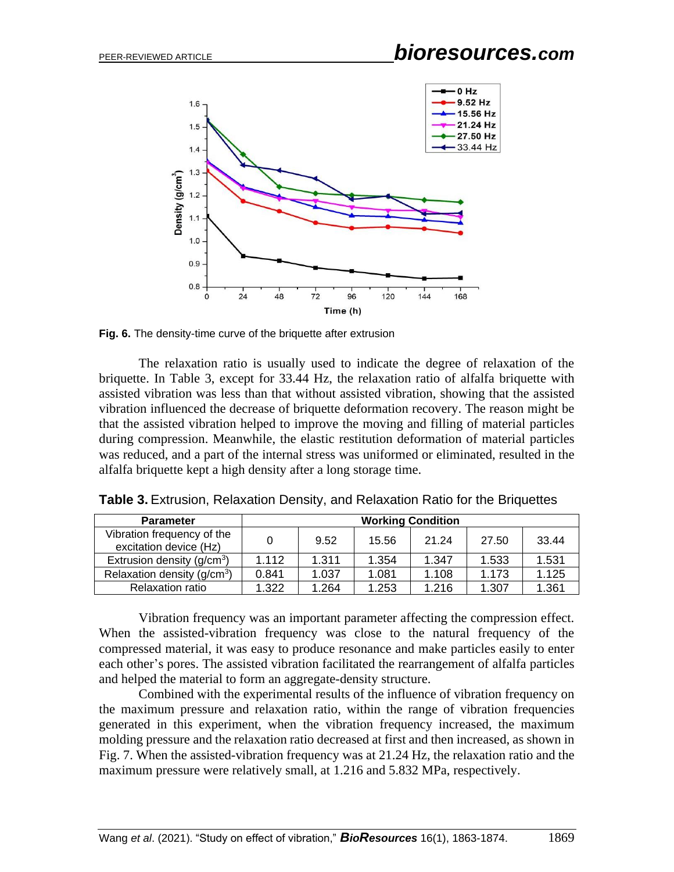

**Fig. 6.** The density-time curve of the briquette after extrusion

The relaxation ratio is usually used to indicate the degree of relaxation of the briquette. In Table 3, except for 33.44 Hz, the relaxation ratio of alfalfa briquette with assisted vibration was less than that without assisted vibration, showing that the assisted vibration influenced the decrease of briquette deformation recovery. The reason might be that the assisted vibration helped to improve the moving and filling of material particles during compression. Meanwhile, the elastic restitution deformation of material particles was reduced, and a part of the internal stress was uniformed or eliminated, resulted in the alfalfa briquette kept a high density after a long storage time.

| <b>Parameter</b>                                     | <b>Working Condition</b> |       |       |       |       |       |  |  |
|------------------------------------------------------|--------------------------|-------|-------|-------|-------|-------|--|--|
| Vibration frequency of the<br>excitation device (Hz) |                          | 9.52  | 15.56 | 21.24 | 27.50 | 33.44 |  |  |
| Extrusion density $(g/cm^3)$                         | 1.112                    | 1.311 | 1.354 | 1.347 | 1.533 | 1.531 |  |  |
| Relaxation density $(g/cm3)$                         | 0.841                    | 1.037 | 1.081 | 1.108 | 1.173 | 1.125 |  |  |
| <b>Relaxation ratio</b>                              | 1.322                    | 1.264 | 1.253 | 1.216 | 1.307 | 1.361 |  |  |

**Table 3.** Extrusion, Relaxation Density, and Relaxation Ratio for the Briquettes

Vibration frequency was an important parameter affecting the compression effect. When the assisted-vibration frequency was close to the natural frequency of the compressed material, it was easy to produce resonance and make particles easily to enter each other's pores. The assisted vibration facilitated the rearrangement of alfalfa particles and helped the material to form an aggregate-density structure.

Combined with the experimental results of the influence of vibration frequency on the maximum pressure and relaxation ratio, within the range of vibration frequencies generated in this experiment, when the vibration frequency increased, the maximum molding pressure and the relaxation ratio decreased at first and then increased, as shown in Fig. 7. When the assisted-vibration frequency was at 21.24 Hz, the relaxation ratio and the maximum pressure were relatively small, at 1.216 and 5.832 MPa, respectively.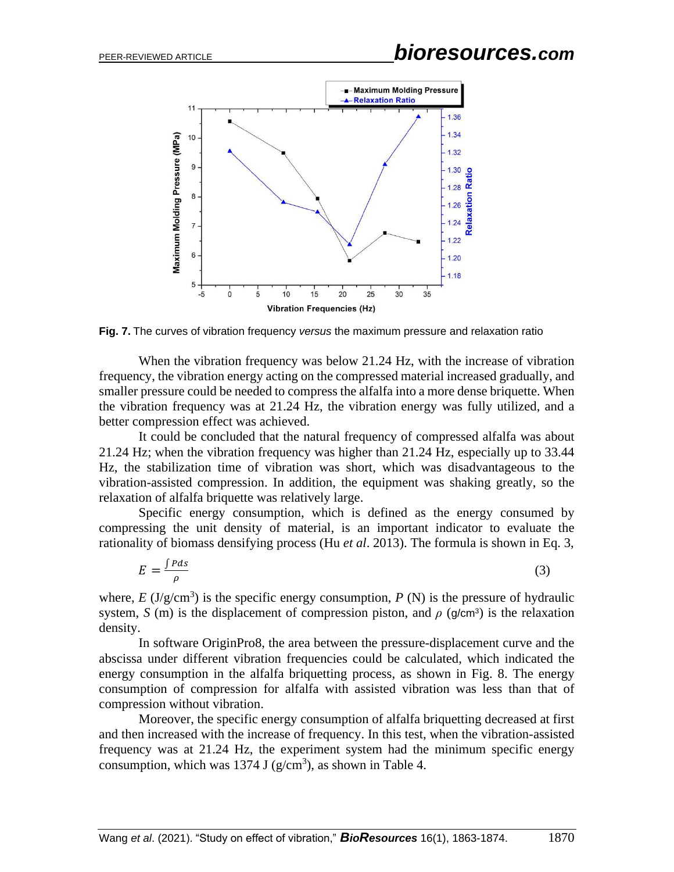

**Fig. 7.** The curves of vibration frequency *versus* the maximum pressure and relaxation ratio

When the vibration frequency was below 21.24 Hz, with the increase of vibration frequency, the vibration energy acting on the compressed material increased gradually, and smaller pressure could be needed to compress the alfalfa into a more dense briquette. When the vibration frequency was at 21.24 Hz, the vibration energy was fully utilized, and a better compression effect was achieved.

It could be concluded that the natural frequency of compressed alfalfa was about 21.24 Hz; when the vibration frequency was higher than 21.24 Hz, especially up to 33.44 Hz, the stabilization time of vibration was short, which was disadvantageous to the vibration-assisted compression. In addition, the equipment was shaking greatly, so the relaxation of alfalfa briquette was relatively large.

Specific energy consumption, which is defined as the energy consumed by compressing the unit density of material, is an important indicator to evaluate the rationality of biomass densifying process (Hu *et al*. 2013). The formula is shown in Eq. 3,

$$
E = \frac{\int P ds}{\rho} \tag{3}
$$

where,  $E \left( \frac{J}{g} \right)$  is the specific energy consumption,  $P \left( N \right)$  is the pressure of hydraulic system,  $S$  (m) is the displacement of compression piston, and  $\rho$  (g/cm<sup>3</sup>) is the relaxation density.

In software OriginPro8, the area between the pressure-displacement curve and the abscissa under different vibration frequencies could be calculated, which indicated the energy consumption in the alfalfa briquetting process, as shown in Fig. 8. The energy consumption of compression for alfalfa with assisted vibration was less than that of compression without vibration.

Moreover, the specific energy consumption of alfalfa briquetting decreased at first and then increased with the increase of frequency. In this test, when the vibration-assisted frequency was at 21.24 Hz, the experiment system had the minimum specific energy consumption, which was 1374 J ( $g/cm<sup>3</sup>$ ), as shown in Table 4.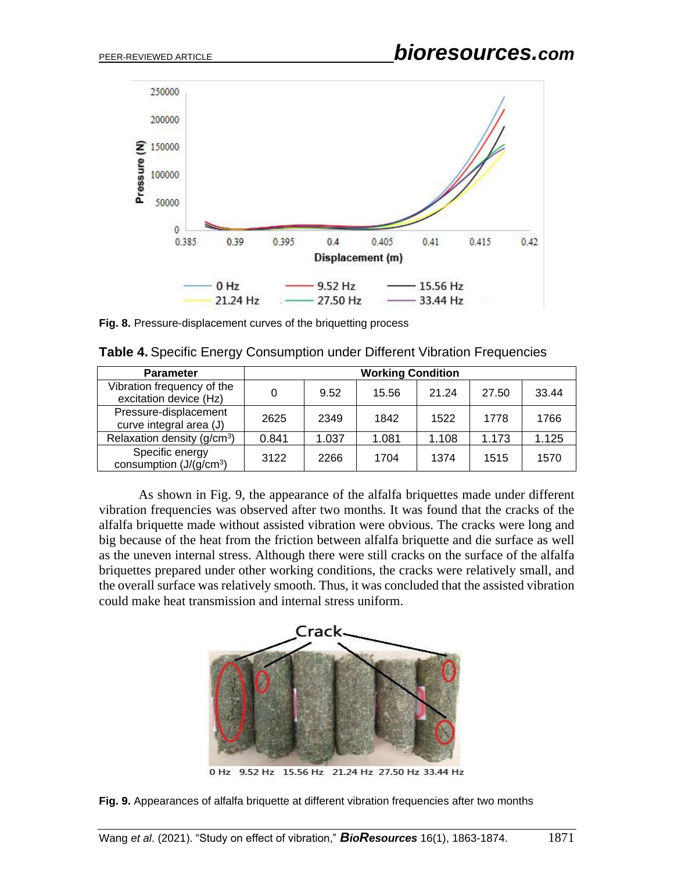

**Fig. 8.** Pressure-displacement curves of the briquetting process

|  | Table 4. Specific Energy Consumption under Different Vibration Frequencies |  |  |  |
|--|----------------------------------------------------------------------------|--|--|--|
|  |                                                                            |  |  |  |

| <b>Parameter</b>                                     | <b>Working Condition</b> |       |       |       |       |       |  |  |
|------------------------------------------------------|--------------------------|-------|-------|-------|-------|-------|--|--|
| Vibration frequency of the<br>excitation device (Hz) |                          | 9.52  | 15.56 | 21.24 | 27.50 | 33.44 |  |  |
| Pressure-displacement<br>curve integral area (J)     | 2625                     | 2349  | 1842  | 1522  | 1778  | 1766  |  |  |
| Relaxation density $(g/cm3)$                         | 0.841                    | 1.037 | 1.081 | 1.108 | 1.173 | 1.125 |  |  |
| Specific energy<br>consumption $(J/(g/cm^3))$        | 3122                     | 2266  | 1704  | 1374  | 1515  | 1570  |  |  |

As shown in Fig. 9, the appearance of the alfalfa briquettes made under different vibration frequencies was observed after two months. It was found that the cracks of the alfalfa briquette made without assisted vibration were obvious. The cracks were long and big because of the heat from the friction between alfalfa briquette and die surface as well as the uneven internal stress. Although there were still cracks on the surface of the alfalfa briquettes prepared under other working conditions, the cracks were relatively small, and the overall surface was relatively smooth. Thus, it was concluded that the assisted vibration could make heat transmission and internal stress uniform.



0 Hz 9.52 Hz 15.56 Hz 21.24 Hz 27.50 Hz 33.44 Hz

**Fig. 9.** Appearances of alfalfa briquette at different vibration frequencies after two months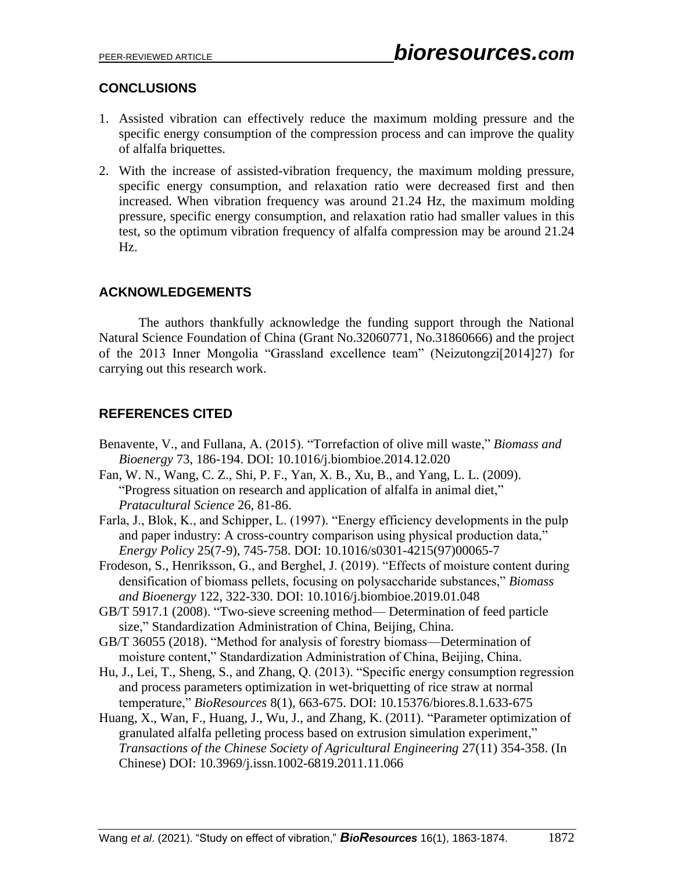# **CONCLUSIONS**

- 1. Assisted vibration can effectively reduce the maximum molding pressure and the specific energy consumption of the compression process and can improve the quality of alfalfa briquettes.
- 2. With the increase of assisted-vibration frequency, the maximum molding pressure, specific energy consumption, and relaxation ratio were decreased first and then increased. When vibration frequency was around 21.24 Hz, the maximum molding pressure, specific energy consumption, and relaxation ratio had smaller values in this test, so the optimum vibration frequency of alfalfa compression may be around 21.24 Hz.

# **ACKNOWLEDGEMENTS**

The authors thankfully acknowledge the funding support through the National Natural Science Foundation of China (Grant No.32060771, No.31860666) and the project of the 2013 Inner Mongolia "Grassland excellence team" (Neizutongzi[2014]27) for carrying out this research work.

# **REFERENCES CITED**

- Benavente, V., and Fullana, A. (2015). "Torrefaction of olive mill waste," *Biomass and Bioenergy* 73, 186-194. DOI: 10.1016/j.biombioe.2014.12.020
- Fan, W. N., Wang, C. Z., Shi, P. F., Yan, X. B., Xu, B., and Yang, L. L. (2009). "Progress situation on research and application of alfalfa in animal diet," *Pratacultural Science* 26, 81-86.
- Farla, J., Blok, K., and Schipper, L. (1997). "Energy efficiency developments in the pulp and paper industry: A cross-country comparison using physical production data," *Energy Policy* 25(7-9), 745-758. DOI: 10.1016/s0301-4215(97)00065-7
- Frodeson, S., Henriksson, G., and Berghel, J. (2019). "Effects of moisture content during densification of biomass pellets, focusing on polysaccharide substances," *Biomass and Bioenergy* 122, 322-330. DOI: 10.1016/j.biombioe.2019.01.048
- GB/T 5917.1 (2008). "Two-sieve screening method— Determination of feed particle size," Standardization Administration of China, Beijing, China.
- GB/T 36055 (2018). "Method for analysis of forestry biomass—Determination of moisture content," Standardization Administration of China, Beijing, China.
- Hu, J., Lei, T., Sheng, S., and Zhang, Q. (2013). "Specific energy consumption regression and process parameters optimization in wet-briquetting of rice straw at normal temperature," *BioResources* 8(1), 663-675. DOI: 10.15376/biores.8.1.633-675
- Huang, X., Wan, F., Huang, J., Wu, J., and Zhang, K. (2011). "Parameter optimization of granulated alfalfa pelleting process based on extrusion simulation experiment," *Transactions of the Chinese Society of Agricultural Engineering* 27(11) 354-358. (In Chinese) DOI: 10.3969/j.issn.1002-6819.2011.11.066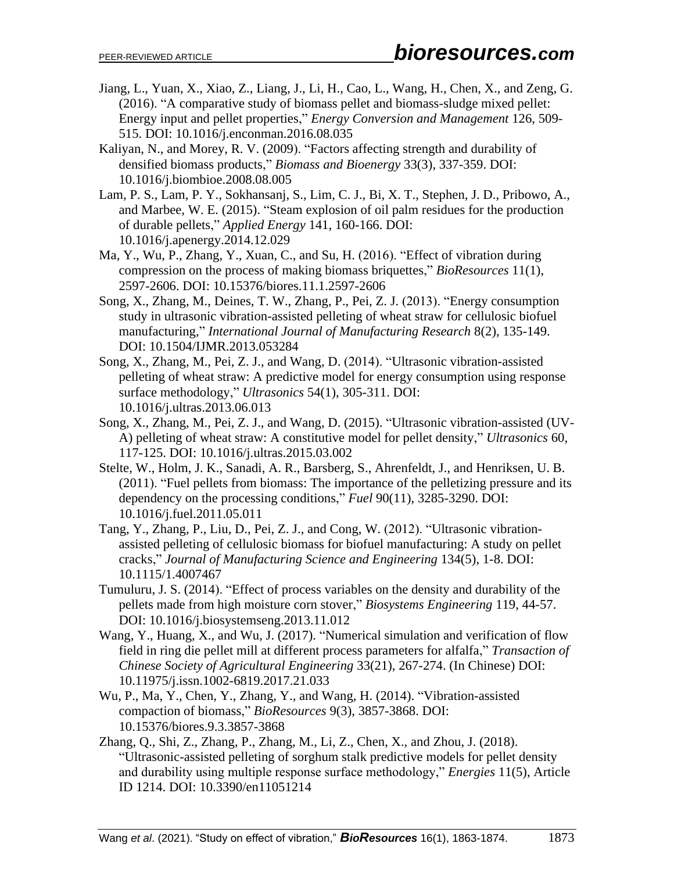- Jiang, L., Yuan, X., Xiao, Z., Liang, J., Li, H., Cao, L., Wang, H., Chen, X., and Zeng, G. (2016). "A comparative study of biomass pellet and biomass-sludge mixed pellet: Energy input and pellet properties," *Energy Conversion and Management* 126, 509- 515. DOI: 10.1016/j.enconman.2016.08.035
- Kaliyan, N., and Morey, R. V. (2009). "Factors affecting strength and durability of densified biomass products," *Biomass and Bioenergy* 33(3), 337-359. DOI: 10.1016/j.biombioe.2008.08.005
- Lam, P. S., Lam, P. Y., Sokhansanj, S., Lim, C. J., Bi, X. T., Stephen, J. D., Pribowo, A., and Marbee, W. E. (2015). "Steam explosion of oil palm residues for the production of durable pellets," *Applied Energy* 141, 160-166. DOI: 10.1016/j.apenergy.2014.12.029
- Ma, Y., Wu, P., Zhang, Y., Xuan, C., and Su, H. (2016). "Effect of vibration during compression on the process of making biomass briquettes," *BioResources* 11(1), 2597-2606. DOI: 10.15376/biores.11.1.2597-2606
- Song, X., Zhang, M., Deines, T. W., Zhang, P., Pei, Z. J. (2013). "Energy consumption study in ultrasonic vibration-assisted pelleting of wheat straw for cellulosic biofuel manufacturing," *International Journal of Manufacturing Research* 8(2), 135-149. DOI: 10.1504/IJMR.2013.053284
- Song, X., Zhang, M., Pei, Z. J., and Wang, D. (2014). "Ultrasonic vibration-assisted pelleting of wheat straw: A predictive model for energy consumption using response surface methodology," *Ultrasonics* 54(1), 305-311. DOI: 10.1016/j.ultras.2013.06.013
- Song, X., Zhang, M., Pei, Z. J., and Wang, D. (2015). "Ultrasonic vibration-assisted (UV-A) pelleting of wheat straw: A constitutive model for pellet density," *Ultrasonics* 60, 117-125. DOI: 10.1016/j.ultras.2015.03.002
- Stelte, W., Holm, J. K., Sanadi, A. R., Barsberg, S., Ahrenfeldt, J., and Henriksen, U. B. (2011). "Fuel pellets from biomass: The importance of the pelletizing pressure and its dependency on the processing conditions," *Fuel* 90(11), 3285-3290. DOI: 10.1016/j.fuel.2011.05.011
- Tang, Y., Zhang, P., Liu, D., Pei, Z. J., and Cong, W. (2012). "Ultrasonic vibrationassisted pelleting of cellulosic biomass for biofuel manufacturing: A study on pellet cracks," *Journal of Manufacturing Science and Engineering* 134(5), 1-8. DOI: 10.1115/1.4007467
- Tumuluru, J. S. (2014). "Effect of process variables on the density and durability of the pellets made from high moisture corn stover," *Biosystems Engineering* 119, 44-57. DOI: 10.1016/j.biosystemseng.2013.11.012
- Wang, Y., Huang, X., and Wu, J. (2017). "Numerical simulation and verification of flow field in ring die pellet mill at different process parameters for alfalfa," *Transaction of Chinese Society of Agricultural Engineering* 33(21), 267-274. (In Chinese) DOI: 10.11975/j.issn.1002-6819.2017.21.033
- Wu, P., Ma, Y., Chen, Y., Zhang, Y., and Wang, H. (2014). "Vibration-assisted compaction of biomass," *BioResources* 9(3), 3857-3868. DOI: 10.15376/biores.9.3.3857-3868
- Zhang, Q., Shi, Z., Zhang, P., Zhang, M., Li, Z., Chen, X., and Zhou, J. (2018). "Ultrasonic-assisted pelleting of sorghum stalk predictive models for pellet density and durability using multiple response surface methodology," *Energies* 11(5), Article ID 1214. DOI: 10.3390/en11051214